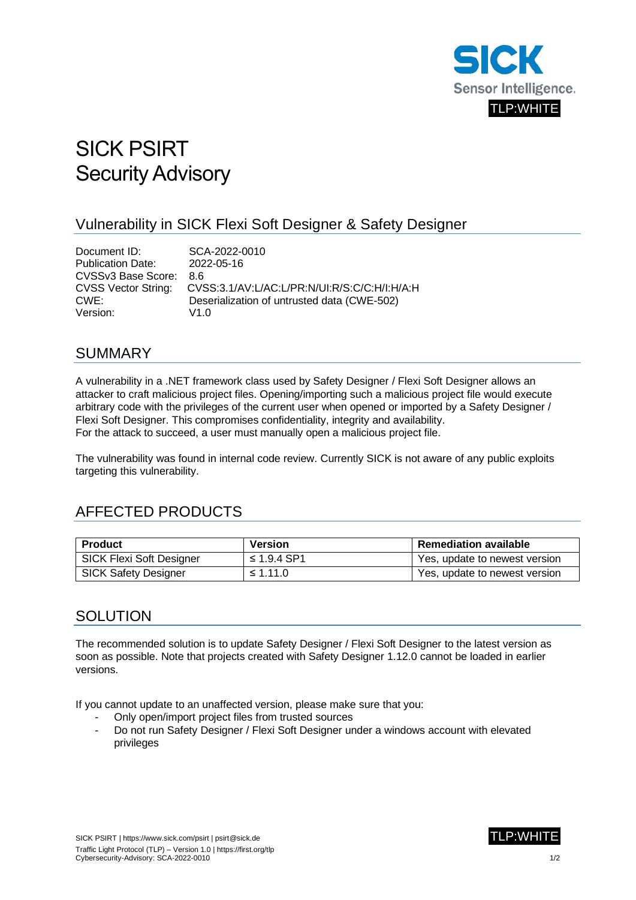

# SICK PSIRT Security Advisory

#### Vulnerability in SICK Flexi Soft Designer & Safety Designer

Document ID: SCA-2022-0010 Publication Date: 2022-05-16 CVSSv3 Base Score: 8.6 CVSS Vector String: CVSS:3.1/AV:L/AC:L/PR:N/UI:R/S:C/C:H/I:H/A:H CWE: Deserialization of untrusted data (CWE-502) Version: V1.0

#### SUMMARY

A vulnerability in a .NET framework class used by Safety Designer / Flexi Soft Designer allows an attacker to craft malicious project files. Opening/importing such a malicious project file would execute arbitrary code with the privileges of the current user when opened or imported by a Safety Designer / Flexi Soft Designer. This compromises confidentiality, integrity and availability. For the attack to succeed, a user must manually open a malicious project file.

The vulnerability was found in internal code review. Currently SICK is not aware of any public exploits targeting this vulnerability.

## AFFECTED PRODUCTS

| <b>Product</b>                  | Version     | <b>Remediation available</b>  |
|---------------------------------|-------------|-------------------------------|
| <b>SICK Flexi Soft Designer</b> | ≤ 1.9.4 SP1 | Yes, update to newest version |
| <b>SICK Safety Designer</b>     | ≤ 1.11.0    | Yes, update to newest version |

#### **SOLUTION**

The recommended solution is to update Safety Designer / Flexi Soft Designer to the latest version as soon as possible. Note that projects created with Safety Designer 1.12.0 cannot be loaded in earlier versions.

If you cannot update to an unaffected version, please make sure that you:

- Only open/import project files from trusted sources
- Do not run Safety Designer / Flexi Soft Designer under a windows account with elevated privileges